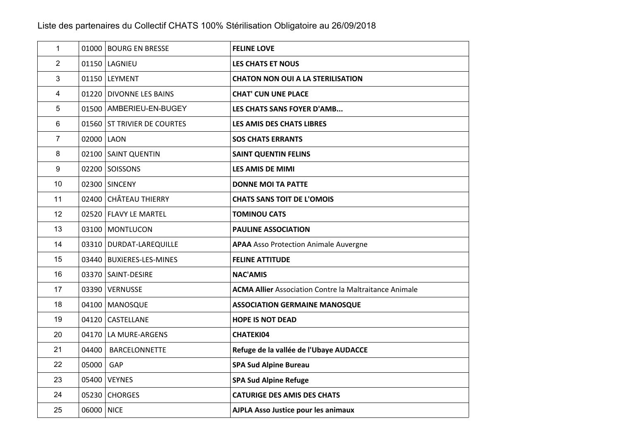| $\mathbf{1}$     |            | 01000 BOURG EN BRESSE       | <b>FELINE LOVE</b>                                            |
|------------------|------------|-----------------------------|---------------------------------------------------------------|
| $\overline{2}$   |            | 01150 LAGNIEU               | <b>LES CHATS ET NOUS</b>                                      |
| 3                |            | 01150 LEYMENT               | <b>CHATON NON OUI A LA STERILISATION</b>                      |
| 4                |            | 01220 DIVONNE LES BAINS     | <b>CHAT' CUN UNE PLACE</b>                                    |
| $\sqrt{5}$       |            | 01500 AMBERIEU-EN-BUGEY     | LES CHATS SANS FOYER D'AMB                                    |
| $6\phantom{1}$   |            | 01560 ST TRIVIER DE COURTES | <b>LES AMIS DES CHATS LIBRES</b>                              |
| $\overline{7}$   | 02000 LAON |                             | <b>SOS CHATS ERRANTS</b>                                      |
| 8                |            | 02100 SAINT QUENTIN         | <b>SAINT QUENTIN FELINS</b>                                   |
| $\boldsymbol{9}$ |            | 02200 SOISSONS              | <b>LES AMIS DE MIMI</b>                                       |
| 10               |            | 02300 SINCENY               | <b>DONNE MOI TA PATTE</b>                                     |
| 11               |            | 02400 CHÂTEAU THIERRY       | <b>CHATS SANS TOIT DE L'OMOIS</b>                             |
| 12               |            | 02520 FLAVY LE MARTEL       | <b>TOMINOU CATS</b>                                           |
| 13               |            | 03100   MONTLUCON           | <b>PAULINE ASSOCIATION</b>                                    |
| 14               |            | 03310 DURDAT-LAREQUILLE     | <b>APAA</b> Asso Protection Animale Auvergne                  |
| 15               |            | 03440   BUXIERES-LES-MINES  | <b>FELINE ATTITUDE</b>                                        |
| 16               |            | 03370 SAINT-DESIRE          | <b>NAC'AMIS</b>                                               |
| 17               |            | 03390 VERNUSSE              | <b>ACMA Allier Association Contre la Maltraitance Animale</b> |
| 18               |            | 04100 MANOSQUE              | <b>ASSOCIATION GERMAINE MANOSQUE</b>                          |
| 19               |            | 04120 CASTELLANE            | <b>HOPE IS NOT DEAD</b>                                       |
| 20               |            | 04170 LA MURE-ARGENS        | <b>CHATEKI04</b>                                              |
| 21               | 04400      | <b>BARCELONNETTE</b>        | Refuge de la vallée de l'Ubaye AUDACCE                        |
| 22               | 05000      | GAP                         | <b>SPA Sud Alpine Bureau</b>                                  |
| 23               |            | 05400 VEYNES                | <b>SPA Sud Alpine Refuge</b>                                  |
| 24               |            | 05230 CHORGES               | <b>CATURIGE DES AMIS DES CHATS</b>                            |
| 25               | 06000 NICE |                             | <b>AJPLA Asso Justice pour les animaux</b>                    |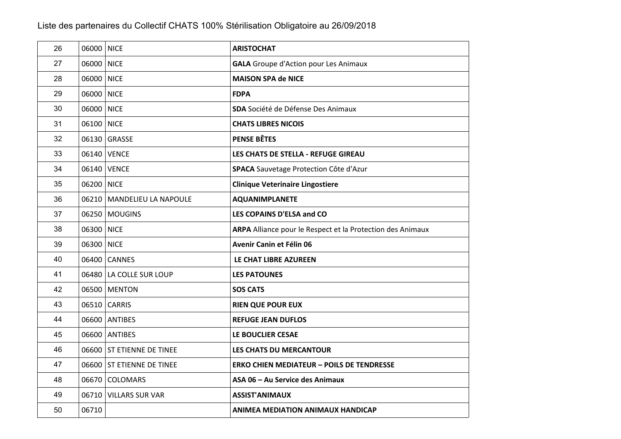| 26 | 06000 NICE |                            | <b>ARISTOCHAT</b>                                          |
|----|------------|----------------------------|------------------------------------------------------------|
| 27 | 06000      | <b>NICE</b>                | <b>GALA</b> Groupe d'Action pour Les Animaux               |
| 28 | 06000 NICE |                            | <b>MAISON SPA de NICE</b>                                  |
| 29 | 06000 NICE |                            | <b>FDPA</b>                                                |
| 30 | 06000 NICE |                            | SDA Société de Défense Des Animaux                         |
| 31 | 06100 NICE |                            | <b>CHATS LIBRES NICOIS</b>                                 |
| 32 |            | 06130 GRASSE               | <b>PENSE BÊTES</b>                                         |
| 33 |            | 06140 VENCE                | LES CHATS DE STELLA - REFUGE GIREAU                        |
| 34 |            | 06140 VENCE                | SPACA Sauvetage Protection Côte d'Azur                     |
| 35 | 06200 NICE |                            | <b>Clinique Veterinaire Lingostiere</b>                    |
| 36 |            | 06210 MANDELIEU LA NAPOULE | <b>AQUANIMPLANETE</b>                                      |
| 37 |            | 06250 MOUGINS              | LES COPAINS D'ELSA and CO                                  |
| 38 | 06300 NICE |                            | ARPA Alliance pour le Respect et la Protection des Animaux |
| 39 | 06300 NICE |                            | Avenir Canin et Félin 06                                   |
| 40 |            | 06400 CANNES               | LE CHAT LIBRE AZUREEN                                      |
| 41 |            | 06480 LA COLLE SUR LOUP    | <b>LES PATOUNES</b>                                        |
| 42 |            | 06500 MENTON               | <b>SOS CATS</b>                                            |
| 43 |            | 06510 CARRIS               | <b>RIEN QUE POUR EUX</b>                                   |
| 44 |            | 06600 ANTIBES              | <b>REFUGE JEAN DUFLOS</b>                                  |
| 45 |            | 06600 ANTIBES              | LE BOUCLIER CESAE                                          |
| 46 |            | 06600 ST ETIENNE DE TINEE  | LES CHATS DU MERCANTOUR                                    |
| 47 |            | 06600 ST ETIENNE DE TINEE  | <b>ERKO CHIEN MEDIATEUR - POILS DE TENDRESSE</b>           |
| 48 |            | 06670 COLOMARS             | ASA 06 - Au Service des Animaux                            |
| 49 |            | 06710 VILLARS SUR VAR      | <b>ASSIST'ANIMAUX</b>                                      |
| 50 | 06710      |                            | <b>ANIMEA MEDIATION ANIMAUX HANDICAP</b>                   |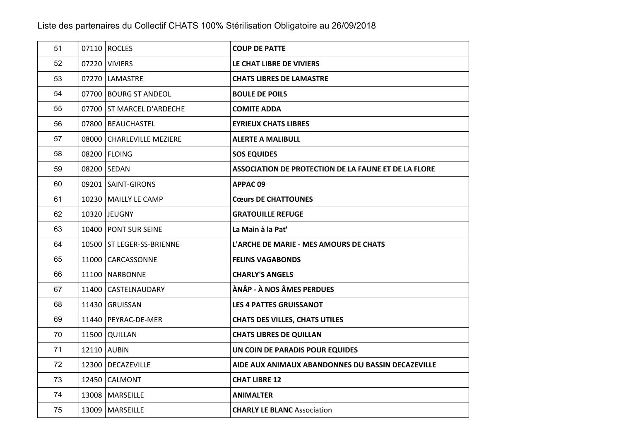| 51 | 07110 ROCLES                | <b>COUP DE PATTE</b>                                 |
|----|-----------------------------|------------------------------------------------------|
| 52 | 07220 VIVIERS               | LE CHAT LIBRE DE VIVIERS                             |
| 53 | 07270 LAMASTRE              | <b>CHATS LIBRES DE LAMASTRE</b>                      |
| 54 | 07700 BOURG ST ANDEOL       | <b>BOULE DE POILS</b>                                |
| 55 | 07700 ST MARCEL D'ARDECHE   | <b>COMITE ADDA</b>                                   |
| 56 | 07800   BEAUCHASTEL         | <b>EYRIEUX CHATS LIBRES</b>                          |
| 57 | 08000 CHARLEVILLE MEZIERE   | <b>ALERTE A MALIBULL</b>                             |
| 58 | 08200 FLOING                | <b>SOS EQUIDES</b>                                   |
| 59 | 08200 SEDAN                 | ASSOCIATION DE PROTECTION DE LA FAUNE ET DE LA FLORE |
| 60 | 09201 SAINT-GIRONS          | APPAC09                                              |
| 61 | 10230   MAILLY LE CAMP      | <b>Cœurs DE CHATTOUNES</b>                           |
| 62 | 10320 JEUGNY                | <b>GRATOUILLE REFUGE</b>                             |
| 63 | 10400   PONT SUR SEINE      | La Main à la Pat'                                    |
| 64 | 10500   ST LEGER-SS-BRIENNE | L'ARCHE DE MARIE - MES AMOURS DE CHATS               |
| 65 | 11000 CARCASSONNE           | <b>FELINS VAGABONDS</b>                              |
| 66 | 11100   NARBONNE            | <b>CHARLY'S ANGELS</b>                               |
| 67 | 11400 CASTELNAUDARY         | ÀNÂP - À NOS ÂMES PERDUES                            |
| 68 | 11430 GRUISSAN              | <b>LES 4 PATTES GRUISSANOT</b>                       |
| 69 | 11440   PEYRAC-DE-MER       | <b>CHATS DES VILLES, CHATS UTILES</b>                |
| 70 | 11500 QUILLAN               | <b>CHATS LIBRES DE QUILLAN</b>                       |
| 71 | 12110 AUBIN                 | UN COIN DE PARADIS POUR EQUIDES                      |
| 72 | 12300   DECAZEVILLE         | AIDE AUX ANIMAUX ABANDONNES DU BASSIN DECAZEVILLE    |
| 73 | 12450 CALMONT               | <b>CHAT LIBRE 12</b>                                 |
| 74 | 13008   MARSEILLE           | <b>ANIMALTER</b>                                     |
| 75 | 13009   MARSEILLE           | <b>CHARLY LE BLANC Association</b>                   |
|    |                             |                                                      |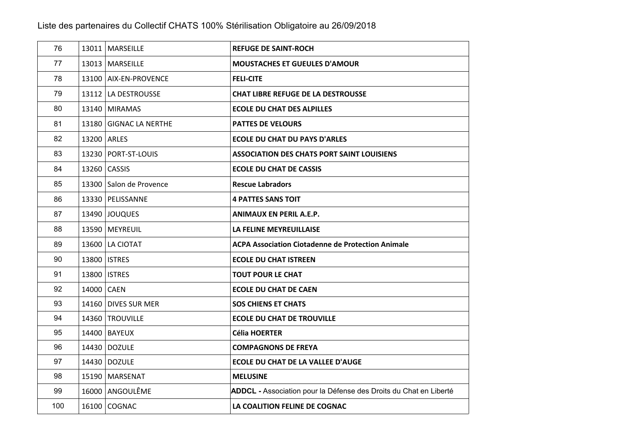| 76  |             | 13011   MARSEILLE       | <b>REFUGE DE SAINT-ROCH</b>                                       |
|-----|-------------|-------------------------|-------------------------------------------------------------------|
| 77  |             | 13013   MARSEILLE       | <b>MOUSTACHES ET GUEULES D'AMOUR</b>                              |
| 78  |             | 13100 AIX-EN-PROVENCE   | <b>FELI-CITE</b>                                                  |
| 79  |             | 13112 LA DESTROUSSE     | <b>CHAT LIBRE REFUGE DE LA DESTROUSSE</b>                         |
| 80  |             | 13140 MIRAMAS           | <b>ECOLE DU CHAT DES ALPILLES</b>                                 |
| 81  |             | 13180 GIGNAC LA NERTHE  | <b>PATTES DE VELOURS</b>                                          |
| 82  | 13200 ARLES |                         | <b>ECOLE DU CHAT DU PAYS D'ARLES</b>                              |
| 83  |             | 13230 PORT-ST-LOUIS     | <b>ASSOCIATION DES CHATS PORT SAINT LOUISIENS</b>                 |
| 84  |             | 13260 CASSIS            | <b>ECOLE DU CHAT DE CASSIS</b>                                    |
| 85  |             | 13300 Salon de Provence | <b>Rescue Labradors</b>                                           |
| 86  |             | 13330   PELISSANNE      | <b>4 PATTES SANS TOIT</b>                                         |
| 87  |             | 13490 JOUQUES           | <b>ANIMAUX EN PERIL A.E.P.</b>                                    |
| 88  |             | 13590   MEYREUIL        | LA FELINE MEYREUILLAISE                                           |
| 89  |             | 13600 LA CIOTAT         | <b>ACPA Association Ciotadenne de Protection Animale</b>          |
| 90  |             | 13800   ISTRES          | <b>ECOLE DU CHAT ISTREEN</b>                                      |
| 91  |             | 13800   ISTRES          | <b>TOUT POUR LE CHAT</b>                                          |
| 92  | 14000 CAEN  |                         | <b>ECOLE DU CHAT DE CAEN</b>                                      |
| 93  |             | 14160 DIVES SUR MER     | <b>SOS CHIENS ET CHATS</b>                                        |
| 94  |             | 14360 TROUVILLE         | <b>ECOLE DU CHAT DE TROUVILLE</b>                                 |
| 95  |             | 14400   BAYEUX          | <b>Célia HOERTER</b>                                              |
| 96  |             | 14430 DOZULE            | <b>COMPAGNONS DE FREYA</b>                                        |
| 97  |             | 14430 DOZULE            | <b>ECOLE DU CHAT DE LA VALLEE D'AUGE</b>                          |
| 98  |             | 15190 MARSENAT          | <b>MELUSINE</b>                                                   |
| 99  |             | 16000 ANGOULÊME         | ADDCL - Association pour la Défense des Droits du Chat en Liberté |
| 100 |             | 16100 COGNAC            | LA COALITION FELINE DE COGNAC                                     |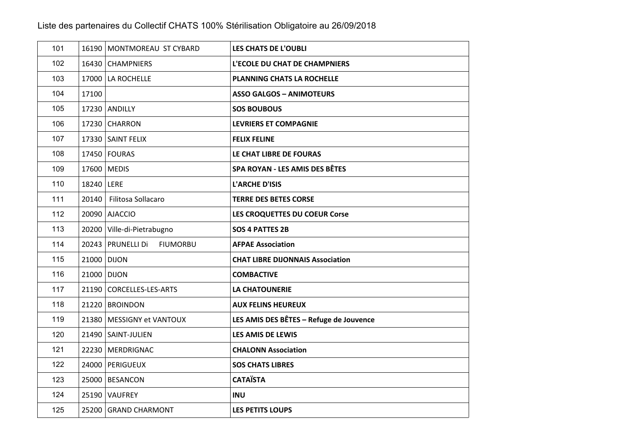| 101 |             | 16190 MONTMOREAU ST CYBARD             | <b>LES CHATS DE L'OUBLI</b>             |
|-----|-------------|----------------------------------------|-----------------------------------------|
| 102 |             | 16430 CHAMPNIERS                       | L'ECOLE DU CHAT DE CHAMPNIERS           |
| 103 |             | 17000 LA ROCHELLE                      | <b>PLANNING CHATS LA ROCHELLE</b>       |
| 104 | 17100       |                                        | <b>ASSO GALGOS - ANIMOTEURS</b>         |
| 105 |             | 17230 ANDILLY                          | <b>SOS BOUBOUS</b>                      |
| 106 |             | 17230 CHARRON                          | <b>LEVRIERS ET COMPAGNIE</b>            |
| 107 |             | 17330 SAINT FELIX                      | <b>FELIX FELINE</b>                     |
| 108 |             | 17450 FOURAS                           | LE CHAT LIBRE DE FOURAS                 |
| 109 |             | 17600 MEDIS                            | <b>SPA ROYAN - LES AMIS DES BÊTES</b>   |
| 110 | 18240 LERE  |                                        | L'ARCHE D'ISIS                          |
| 111 | 20140       | Filitosa Sollacaro                     | <b>TERRE DES BETES CORSE</b>            |
| 112 |             | 20090 AJACCIO                          | LES CROQUETTES DU COEUR Corse           |
| 113 |             | 20200 Ville-di-Pietrabugno             | <b>SOS 4 PATTES 2B</b>                  |
| 114 |             | 20243   PRUNELLI Di<br><b>FIUMORBU</b> | <b>AFPAE Association</b>                |
| 115 | 21000 DIJON |                                        | <b>CHAT LIBRE DIJONNAIS Association</b> |
| 116 | 21000 DIJON |                                        | <b>COMBACTIVE</b>                       |
| 117 |             | 21190 CORCELLES-LES-ARTS               | <b>LA CHATOUNERIE</b>                   |
| 118 |             | 21220 BROINDON                         | <b>AUX FELINS HEUREUX</b>               |
| 119 |             | 21380 MESSIGNY et VANTOUX              | LES AMIS DES BÊTES - Refuge de Jouvence |
| 120 |             | 21490   SAINT-JULIEN                   | LES AMIS DE LEWIS                       |
| 121 |             | 22230 MERDRIGNAC                       | <b>CHALONN Association</b>              |
| 122 |             | 24000 PERIGUEUX                        | <b>SOS CHATS LIBRES</b>                 |
| 123 |             | 25000 BESANCON                         | <b>CATAÏSTA</b>                         |
| 124 |             | 25190 VAUFREY                          | <b>INU</b>                              |
| 125 |             | 25200 GRAND CHARMONT                   | <b>LES PETITS LOUPS</b>                 |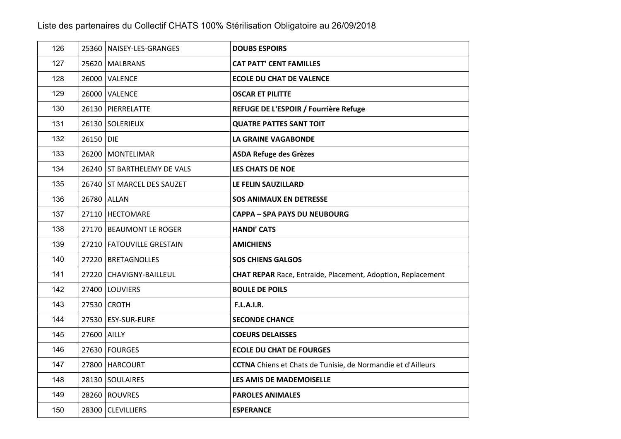| 126 |             | 25360   NAISEY-LES-GRANGES  | <b>DOUBS ESPOIRS</b>                                                |
|-----|-------------|-----------------------------|---------------------------------------------------------------------|
| 127 |             | 25620 MALBRANS              | <b>CAT PATT' CENT FAMILLES</b>                                      |
| 128 |             | 26000 VALENCE               | <b>ECOLE DU CHAT DE VALENCE</b>                                     |
| 129 |             | 26000 VALENCE               | <b>OSCAR ET PILITTE</b>                                             |
| 130 |             | 26130 PIERRELATTE           | REFUGE DE L'ESPOIR / Fourrière Refuge                               |
| 131 |             | 26130 SOLERIEUX             | <b>QUATRE PATTES SANT TOIT</b>                                      |
| 132 | 26150 DIE   |                             | <b>LA GRAINE VAGABONDE</b>                                          |
| 133 |             | 26200 MONTELIMAR            | <b>ASDA Refuge des Grèzes</b>                                       |
| 134 |             | 26240 ST BARTHELEMY DE VALS | <b>LES CHATS DE NOE</b>                                             |
| 135 |             | 26740 ST MARCEL DES SAUZET  | LE FELIN SAUZILLARD                                                 |
| 136 |             | 26780 ALLAN                 | <b>SOS ANIMAUX EN DETRESSE</b>                                      |
| 137 |             | 27110   HECTOMARE           | <b>CAPPA – SPA PAYS DU NEUBOURG</b>                                 |
| 138 |             | 27170 BEAUMONT LE ROGER     | <b>HANDI' CATS</b>                                                  |
| 139 |             | 27210   FATOUVILLE GRESTAIN | <b>AMICHIENS</b>                                                    |
| 140 |             | 27220 BRETAGNOLLES          | <b>SOS CHIENS GALGOS</b>                                            |
| 141 |             | 27220 CHAVIGNY-BAILLEUL     | <b>CHAT REPAR</b> Race, Entraide, Placement, Adoption, Replacement  |
| 142 |             | 27400 LOUVIERS              | <b>BOULE DE POILS</b>                                               |
| 143 |             | 27530 CROTH                 | <b>F.L.A.I.R.</b>                                                   |
| 144 |             | 27530 ESY-SUR-EURE          | <b>SECONDE CHANCE</b>                                               |
| 145 | 27600 AILLY |                             | <b>COEURS DELAISSES</b>                                             |
| 146 |             | 27630 FOURGES               | <b>ECOLE DU CHAT DE FOURGES</b>                                     |
| 147 |             | 27800 HARCOURT              | <b>CCTNA</b> Chiens et Chats de Tunisie, de Normandie et d'Ailleurs |
| 148 |             | 28130 SOULAIRES             | LES AMIS DE MADEMOISELLE                                            |
| 149 |             | 28260 ROUVRES               | <b>PAROLES ANIMALES</b>                                             |
| 150 |             | 28300 CLEVILLIERS           | <b>ESPERANCE</b>                                                    |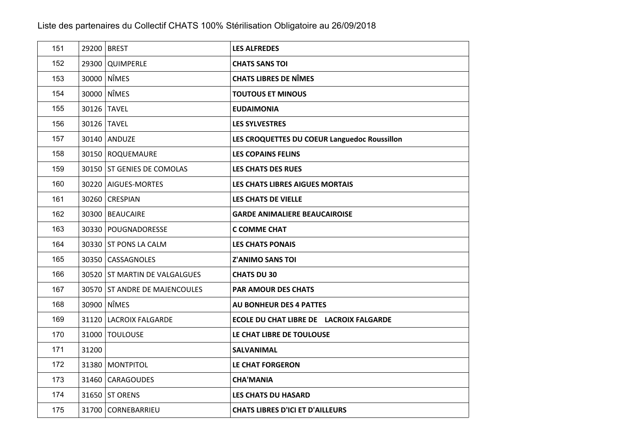| 151 |       | 29200 BREST                   | <b>LES ALFREDES</b>                          |
|-----|-------|-------------------------------|----------------------------------------------|
| 152 |       | 29300 QUIMPERLE               | <b>CHATS SANS TOI</b>                        |
| 153 |       | 30000 NÎMES                   | <b>CHATS LIBRES DE NÎMES</b>                 |
| 154 |       | 30000 NÎMES                   | <b>TOUTOUS ET MINOUS</b>                     |
| 155 |       | 30126 TAVEL                   | <b>EUDAIMONIA</b>                            |
| 156 |       | 30126 TAVEL                   | <b>LES SYLVESTRES</b>                        |
| 157 |       | 30140 ANDUZE                  | LES CROQUETTES DU COEUR Languedoc Roussillon |
| 158 |       | 30150 ROQUEMAURE              | <b>LES COPAINS FELINS</b>                    |
| 159 |       | 30150 ST GENIES DE COMOLAS    | <b>LES CHATS DES RUES</b>                    |
| 160 |       | 30220 AIGUES-MORTES           | LES CHATS LIBRES AIGUES MORTAIS              |
| 161 |       | 30260 CRESPIAN                | LES CHATS DE VIELLE                          |
| 162 |       | 30300 BEAUCAIRE               | <b>GARDE ANIMALIERE BEAUCAIROISE</b>         |
| 163 |       | 30330 POUGNADORESSE           | C COMME CHAT                                 |
| 164 |       | 30330 ST PONS LA CALM         | <b>LES CHATS PONAIS</b>                      |
| 165 |       | 30350 CASSAGNOLES             | <b>Z'ANIMO SANS TOI</b>                      |
| 166 |       | 30520 ST MARTIN DE VALGALGUES | <b>CHATS DU 30</b>                           |
| 167 |       | 30570 ST ANDRE DE MAJENCOULES | <b>PAR AMOUR DES CHATS</b>                   |
| 168 |       | 30900 NÎMES                   | <b>AU BONHEUR DES 4 PATTES</b>               |
| 169 |       | 31120 LACROIX FALGARDE        | ECOLE DU CHAT LIBRE DE LACROIX FALGARDE      |
| 170 |       | 31000 TOULOUSE                | LE CHAT LIBRE DE TOULOUSE                    |
| 171 | 31200 |                               | SALVANIMAL                                   |
| 172 |       | 31380 MONTPITOL               | <b>LE CHAT FORGERON</b>                      |
| 173 |       | 31460   CARAGOUDES            | <b>CHA'MANIA</b>                             |
| 174 |       | 31650 ST ORENS                | <b>LES CHATS DU HASARD</b>                   |
| 175 |       | 31700 CORNEBARRIEU            | <b>CHATS LIBRES D'ICI ET D'AILLEURS</b>      |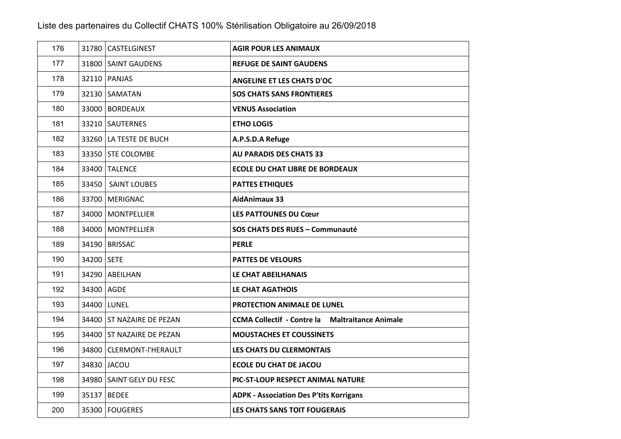| 176 |            | 31780 CASTELGINEST        | <b>AGIR POUR LES ANIMAUX</b>                           |
|-----|------------|---------------------------|--------------------------------------------------------|
| 177 |            | 31800 SAINT GAUDENS       | <b>REFUGE DE SAINT GAUDENS</b>                         |
| 178 |            | 32110   PANJAS            | <b>ANGELINE ET LES CHATS D'OC</b>                      |
| 179 |            | 32130 SAMATAN             | <b>SOS CHATS SANS FRONTIERES</b>                       |
| 180 |            | 33000 BORDEAUX            | <b>VENUS Association</b>                               |
| 181 |            | 33210 SAUTERNES           | <b>ETHO LOGIS</b>                                      |
| 182 |            | 33260 LA TESTE DE BUCH    | A.P.S.D.A Refuge                                       |
| 183 |            | 33350 STE COLOMBE         | <b>AU PARADIS DES CHATS 33</b>                         |
| 184 |            | 33400 TALENCE             | <b>ECOLE DU CHAT LIBRE DE BORDEAUX</b>                 |
| 185 |            | 33450 SAINT LOUBES        | <b>PATTES ETHIQUES</b>                                 |
| 186 |            | 33700 MERIGNAC            | <b>AidAnimaux 33</b>                                   |
| 187 |            | 34000   MONTPELLIER       | <b>LES PATTOUNES DU Cœur</b>                           |
| 188 |            | 34000   MONTPELLIER       | SOS CHATS DES RUES - Communauté                        |
| 189 |            | 34190 BRISSAC             | <b>PERLE</b>                                           |
| 190 | 34200 SETE |                           | <b>PATTES DE VELOURS</b>                               |
| 191 |            | 34290 ABEILHAN            | LE CHAT ABEILHANAIS                                    |
| 192 | 34300 AGDE |                           | <b>LE CHAT AGATHOIS</b>                                |
| 193 |            | 34400 LUNEL               | PROTECTION ANIMALE DE LUNEL                            |
| 194 |            | 34400 ST NAZAIRE DE PEZAN | <b>CCMA Collectif - Contre la Maltraitance Animale</b> |
| 195 |            | 34400 ST NAZAIRE DE PEZAN | <b>MOUSTACHES ET COUSSINETS</b>                        |
| 196 |            | 34800 CLERMONT-I'HERAULT  | LES CHATS DU CLERMONTAIS                               |
| 197 |            | 34830 JACOU               | <b>ECOLE DU CHAT DE JACOU</b>                          |
| 198 |            | 34980 SAINT GELY DU FESC  | PIC-ST-LOUP RESPECT ANIMAL NATURE                      |
| 199 |            | 35137 BEDEE               | <b>ADPK - Association Des P'tits Korrigans</b>         |
| 200 |            | 35300 FOUGERES            | <b>LES CHATS SANS TOIT FOUGERAIS</b>                   |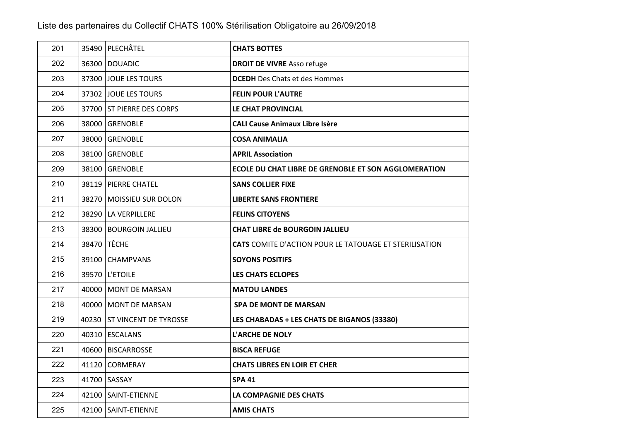| 201 | 35490 PLECHÂTEL             | <b>CHATS BOTTES</b>                                           |
|-----|-----------------------------|---------------------------------------------------------------|
| 202 | 36300 DOUADIC               | <b>DROIT DE VIVRE Asso refuge</b>                             |
| 203 | 37300 JOUE LES TOURS        | <b>DCEDH</b> Des Chats et des Hommes                          |
| 204 | 37302 JOUE LES TOURS        | <b>FELIN POUR L'AUTRE</b>                                     |
| 205 | 37700 ST PIERRE DES CORPS   | LE CHAT PROVINCIAL                                            |
| 206 | 38000 GRENOBLE              | <b>CALI Cause Animaux Libre Isère</b>                         |
| 207 | 38000 GRENOBLE              | <b>COSA ANIMALIA</b>                                          |
| 208 | 38100 GRENOBLE              | <b>APRIL Association</b>                                      |
| 209 | 38100 GRENOBLE              | ECOLE DU CHAT LIBRE DE GRENOBLE ET SON AGGLOMERATION          |
| 210 | 38119   PIERRE CHATEL       | <b>SANS COLLIER FIXE</b>                                      |
| 211 | 38270   MOISSIEU SUR DOLON  | <b>LIBERTE SANS FRONTIERE</b>                                 |
| 212 | 38290   LA VERPILLERE       | <b>FELINS CITOYENS</b>                                        |
| 213 | 38300 BOURGOIN JALLIEU      | <b>CHAT LIBRE de BOURGOIN JALLIEU</b>                         |
| 214 | 38470 TÊCHE                 | <b>CATS</b> COMITE D'ACTION POUR LE TATOUAGE ET STERILISATION |
| 215 | 39100 CHAMPVANS             | <b>SOYONS POSITIFS</b>                                        |
| 216 | 39570   L'ETOILE            | <b>LES CHATS ECLOPES</b>                                      |
| 217 | 40000   MONT DE MARSAN      | <b>MATOU LANDES</b>                                           |
| 218 | 40000   MONT DE MARSAN      | <b>SPA DE MONT DE MARSAN</b>                                  |
| 219 | 40230 ST VINCENT DE TYROSSE | LES CHABADAS + LES CHATS DE BIGANOS (33380)                   |
| 220 | 40310 ESCALANS              | <b>L'ARCHE DE NOLY</b>                                        |
| 221 | 40600 BISCARROSSE           | <b>BISCA REFUGE</b>                                           |
| 222 | 41120 CORMERAY              | <b>CHATS LIBRES EN LOIR ET CHER</b>                           |
| 223 | 41700 SASSAY                | <b>SPA 41</b>                                                 |
| 224 | 42100 SAINT-ETIENNE         | LA COMPAGNIE DES CHATS                                        |
| 225 | 42100 SAINT-ETIENNE         | <b>AMIS CHATS</b>                                             |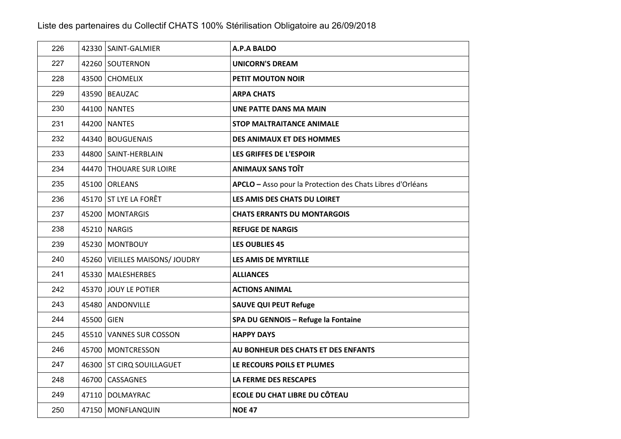| 226 |            | 42330 SAINT-GALMIER            | A.P.A BALDO                                                |
|-----|------------|--------------------------------|------------------------------------------------------------|
| 227 |            | 42260 SOUTERNON                | <b>UNICORN'S DREAM</b>                                     |
| 228 |            | 43500 CHOMELIX                 | <b>PETIT MOUTON NOIR</b>                                   |
| 229 |            | 43590 BEAUZAC                  | <b>ARPA CHATS</b>                                          |
| 230 |            | 44100 NANTES                   | UNE PATTE DANS MA MAIN                                     |
| 231 |            | 44200 NANTES                   | <b>STOP MALTRAITANCE ANIMALE</b>                           |
| 232 |            | 44340   BOUGUENAIS             | <b>DES ANIMAUX ET DES HOMMES</b>                           |
| 233 |            | 44800 SAINT-HERBLAIN           | LES GRIFFES DE L'ESPOIR                                    |
| 234 |            | 44470 THOUARE SUR LOIRE        | <b>ANIMAUX SANS TOIT</b>                                   |
| 235 |            | 45100 ORLEANS                  | APCLO - Asso pour la Protection des Chats Libres d'Orléans |
| 236 |            | 45170 ST LYE LA FORÊT          | LES AMIS DES CHATS DU LOIRET                               |
| 237 |            | 45200   MONTARGIS              | <b>CHATS ERRANTS DU MONTARGOIS</b>                         |
| 238 |            | 45210 NARGIS                   | <b>REFUGE DE NARGIS</b>                                    |
| 239 |            | 45230 MONTBOUY                 | <b>LES OUBLIES 45</b>                                      |
| 240 |            | 45260 VIEILLES MAISONS/ JOUDRY | LES AMIS DE MYRTILLE                                       |
| 241 |            | 45330 MALESHERBES              | <b>ALLIANCES</b>                                           |
| 242 |            | 45370 JOUY LE POTIER           | <b>ACTIONS ANIMAL</b>                                      |
| 243 |            | 45480 ANDONVILLE               | <b>SAUVE QUI PEUT Refuge</b>                               |
| 244 | 45500 GIEN |                                | SPA DU GENNOIS - Refuge la Fontaine                        |
| 245 |            | 45510 VANNES SUR COSSON        | <b>HAPPY DAYS</b>                                          |
| 246 |            | 45700 MONTCRESSON              | AU BONHEUR DES CHATS ET DES ENFANTS                        |
| 247 |            | 46300 ST CIRQ SOUILLAGUET      | LE RECOURS POILS ET PLUMES                                 |
| 248 |            | 46700 CASSAGNES                | LA FERME DES RESCAPES                                      |
| 249 |            | 47110   DOLMAYRAC              | <b>ECOLE DU CHAT LIBRE DU CÔTEAU</b>                       |
| 250 |            | 47150   MONFLANQUIN            | <b>NOE 47</b>                                              |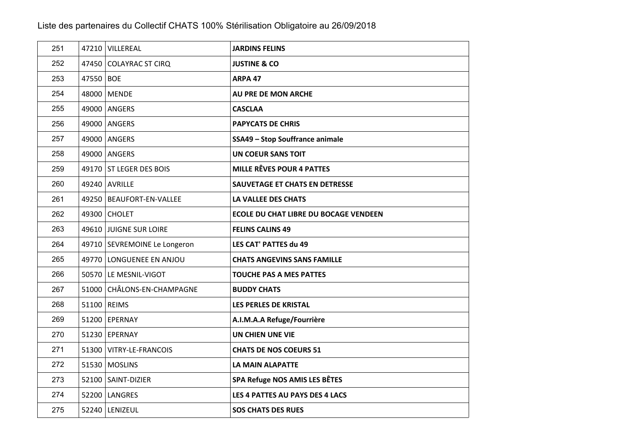| 251 |           | 47210 VILLEREAL              | <b>JARDINS FELINS</b>                  |
|-----|-----------|------------------------------|----------------------------------------|
| 252 |           | 47450 COLAYRAC ST CIRQ       | <b>JUSTINE &amp; CO</b>                |
| 253 | 47550 BOE |                              | ARPA 47                                |
| 254 |           | 48000 MENDE                  | AU PRE DE MON ARCHE                    |
| 255 |           | 49000 ANGERS                 | <b>CASCLAA</b>                         |
| 256 |           | 49000 ANGERS                 | <b>PAPYCATS DE CHRIS</b>               |
| 257 |           | 49000 ANGERS                 | <b>SSA49 - Stop Souffrance animale</b> |
| 258 |           | 49000 ANGERS                 | <b>UN COEUR SANS TOIT</b>              |
| 259 |           | 49170 ST LEGER DES BOIS      | <b>MILLE RÊVES POUR 4 PATTES</b>       |
| 260 |           | 49240 AVRILLE                | <b>SAUVETAGE ET CHATS EN DETRESSE</b>  |
| 261 |           | 49250   BEAUFORT-EN-VALLEE   | <b>LA VALLEE DES CHATS</b>             |
| 262 |           | 49300 CHOLET                 | ECOLE DU CHAT LIBRE DU BOCAGE VENDEEN  |
| 263 |           | 49610 JUIGNE SUR LOIRE       | <b>FELINS CALINS 49</b>                |
| 264 |           | 49710 SEVREMOINE Le Longeron | LES CAT' PATTES du 49                  |
| 265 |           | 49770 LONGUENEE EN ANJOU     | <b>CHATS ANGEVINS SANS FAMILLE</b>     |
| 266 |           | 50570 LE MESNIL-VIGOT        | <b>TOUCHE PAS A MES PATTES</b>         |
| 267 |           | 51000 CHÂLONS-EN-CHAMPAGNE   | <b>BUDDY CHATS</b>                     |
| 268 |           | 51100 REIMS                  | LES PERLES DE KRISTAL                  |
| 269 |           | 51200 EPERNAY                | A.I.M.A.A Refuge/Fourrière             |
| 270 |           | 51230 EPERNAY                | UN CHIEN UNE VIE                       |
| 271 |           | 51300 VITRY-LE-FRANCOIS      | <b>CHATS DE NOS COEURS 51</b>          |
| 272 |           | 51530   MOSLINS              | LA MAIN ALAPATTE                       |
| 273 |           | 52100 SAINT-DIZIER           | SPA Refuge NOS AMIS LES BÊTES          |
| 274 |           | 52200 LANGRES                | LES 4 PATTES AU PAYS DES 4 LACS        |
| 275 |           | 52240 LENIZEUL               | <b>SOS CHATS DES RUES</b>              |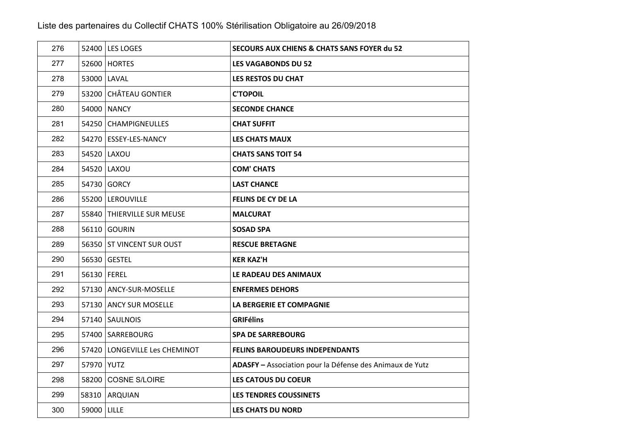| 276 |               | 52400 LES LOGES               | <b>SECOURS AUX CHIENS &amp; CHATS SANS FOYER du 52</b>   |
|-----|---------------|-------------------------------|----------------------------------------------------------|
| 277 |               | 52600 HORTES                  | <b>LES VAGABONDS DU 52</b>                               |
| 278 |               | 53000 LAVAL                   | LES RESTOS DU CHAT                                       |
| 279 |               | 53200 CHÂTEAU GONTIER         | <b>C'TOPOIL</b>                                          |
| 280 |               | 54000 NANCY                   | <b>SECONDE CHANCE</b>                                    |
| 281 |               | 54250 CHAMPIGNEULLES          | <b>CHAT SUFFIT</b>                                       |
| 282 |               | 54270 ESSEY-LES-NANCY         | <b>LES CHATS MAUX</b>                                    |
| 283 |               | 54520   LAXOU                 | <b>CHATS SANS TOIT 54</b>                                |
| 284 |               | 54520 LAXOU                   | <b>COM' CHATS</b>                                        |
| 285 |               | 54730 GORCY                   | <b>LAST CHANCE</b>                                       |
| 286 |               | 55200   LEROUVILLE            | <b>FELINS DE CY DE LA</b>                                |
| 287 |               | 55840 THIERVILLE SUR MEUSE    | <b>MALCURAT</b>                                          |
| 288 |               | 56110 GOURIN                  | <b>SOSAD SPA</b>                                         |
| 289 |               | 56350 ST VINCENT SUR OUST     | <b>RESCUE BRETAGNE</b>                                   |
| 290 |               | 56530 GESTEL                  | <b>KER KAZ'H</b>                                         |
| 291 | 56130   FEREL |                               | LE RADEAU DES ANIMAUX                                    |
| 292 |               | 57130   ANCY-SUR-MOSELLE      | <b>ENFERMES DEHORS</b>                                   |
| 293 |               | 57130 ANCY SUR MOSELLE        | <b>LA BERGERIE ET COMPAGNIE</b>                          |
| 294 |               | 57140 SAULNOIS                | <b>GRIFélins</b>                                         |
| 295 |               | 57400 SARREBOURG              | <b>SPA DE SARREBOURG</b>                                 |
| 296 |               | 57420 LONGEVILLE Les CHEMINOT | <b>FELINS BAROUDEURS INDEPENDANTS</b>                    |
| 297 | 57970 YUTZ    |                               | ADASFY - Association pour la Défense des Animaux de Yutz |
| 298 |               | 58200 COSNE S/LOIRE           | <b>LES CATOUS DU COEUR</b>                               |
| 299 |               | 58310 ARQUIAN                 | <b>LES TENDRES COUSSINETS</b>                            |
| 300 | 59000   LILLE |                               | <b>LES CHATS DU NORD</b>                                 |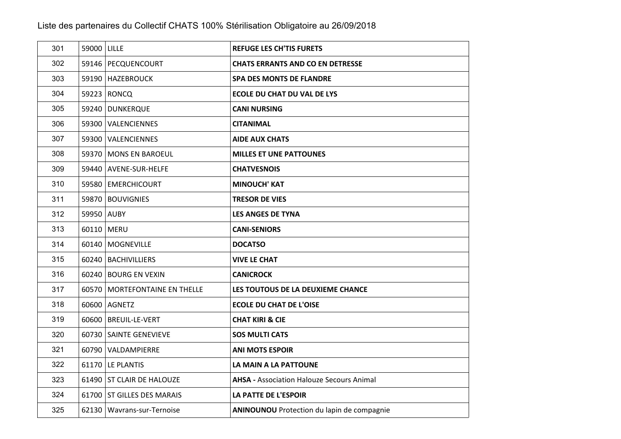| 301 | 59000 LILLE |                                 | <b>REFUGE LES CH'TIS FURETS</b>                   |
|-----|-------------|---------------------------------|---------------------------------------------------|
| 302 |             | 59146   PECQUENCOURT            | <b>CHATS ERRANTS AND CO EN DETRESSE</b>           |
| 303 |             | 59190 HAZEBROUCK                | <b>SPA DES MONTS DE FLANDRE</b>                   |
| 304 |             | 59223 RONCQ                     | <b>ECOLE DU CHAT DU VAL DE LYS</b>                |
| 305 |             | 59240 DUNKERQUE                 | <b>CANI NURSING</b>                               |
| 306 |             | 59300 VALENCIENNES              | <b>CITANIMAL</b>                                  |
| 307 |             | 59300 VALENCIENNES              | <b>AIDE AUX CHATS</b>                             |
| 308 |             | 59370 MONS EN BAROEUL           | <b>MILLES ET UNE PATTOUNES</b>                    |
| 309 |             | 59440 AVENE-SUR-HELFE           | <b>CHATVESNOIS</b>                                |
| 310 |             | 59580 EMERCHICOURT              | <b>MINOUCH' KAT</b>                               |
| 311 |             | 59870 BOUVIGNIES                | <b>TRESOR DE VIES</b>                             |
| 312 | 59950 AUBY  |                                 | <b>LES ANGES DE TYNA</b>                          |
| 313 |             | 60110 MERU                      | <b>CANI-SENIORS</b>                               |
| 314 |             | 60140   MOGNEVILLE              | <b>DOCATSO</b>                                    |
| 315 |             | 60240   BACHIVILLIERS           | <b>VIVE LE CHAT</b>                               |
| 316 |             | 60240 BOURG EN VEXIN            | <b>CANICROCK</b>                                  |
| 317 |             | 60570   MORTEFONTAINE EN THELLE | LES TOUTOUS DE LA DEUXIEME CHANCE                 |
| 318 |             | 60600   AGNETZ                  | <b>ECOLE DU CHAT DE L'OISE</b>                    |
| 319 |             | 60600   BREUIL-LE-VERT          | <b>CHAT KIRI &amp; CIE</b>                        |
| 320 |             | 60730 SAINTE GENEVIEVE          | <b>SOS MULTI CATS</b>                             |
| 321 |             | 60790 VALDAMPIERRE              | <b>ANI MOTS ESPOIR</b>                            |
| 322 |             | 61170   LE PLANTIS              | LA MAIN A LA PATTOUNE                             |
| 323 |             | 61490 ST CLAIR DE HALOUZE       | <b>AHSA - Association Halouze Secours Animal</b>  |
| 324 |             | 61700 ST GILLES DES MARAIS      | <b>LA PATTE DE L'ESPOIR</b>                       |
| 325 |             | 62130 Wavrans-sur-Ternoise      | <b>ANINOUNOU</b> Protection du lapin de compagnie |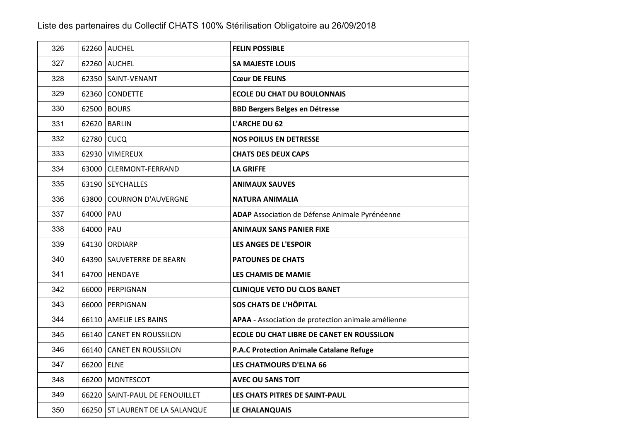| 326 |             | 62260 AUCHEL                    | <b>FELIN POSSIBLE</b>                              |
|-----|-------------|---------------------------------|----------------------------------------------------|
| 327 |             | 62260 AUCHEL                    | <b>SA MAJESTE LOUIS</b>                            |
| 328 |             | 62350 SAINT-VENANT              | <b>Cœur DE FELINS</b>                              |
| 329 |             | 62360 CONDETTE                  | <b>ECOLE DU CHAT DU BOULONNAIS</b>                 |
| 330 |             | 62500 BOURS                     | <b>BBD Bergers Belges en Détresse</b>              |
| 331 |             | 62620 BARLIN                    | L'ARCHE DU 62                                      |
| 332 | 62780 CUCQ  |                                 | <b>NOS POILUS EN DETRESSE</b>                      |
| 333 |             | 62930 VIMEREUX                  | <b>CHATS DES DEUX CAPS</b>                         |
| 334 |             | 63000 CLERMONT-FERRAND          | <b>LA GRIFFE</b>                                   |
| 335 |             | 63190 SEYCHALLES                | <b>ANIMAUX SAUVES</b>                              |
| 336 |             | 63800 COURNON D'AUVERGNE        | <b>NATURA ANIMALIA</b>                             |
| 337 | 64000   PAU |                                 | ADAP Association de Défense Animale Pyrénéenne     |
| 338 | 64000 PAU   |                                 | <b>ANIMAUX SANS PANIER FIXE</b>                    |
| 339 |             | 64130 ORDIARP                   | <b>LES ANGES DE L'ESPOIR</b>                       |
| 340 |             | 64390 SAUVETERRE DE BEARN       | <b>PATOUNES DE CHATS</b>                           |
| 341 |             | 64700 HENDAYE                   | LES CHAMIS DE MAMIE                                |
| 342 |             | 66000 PERPIGNAN                 | <b>CLINIQUE VETO DU CLOS BANET</b>                 |
| 343 |             | 66000 PERPIGNAN                 | <b>SOS CHATS DE L'HÔPITAL</b>                      |
| 344 |             | 66110 AMELIE LES BAINS          | APAA - Association de protection animale amélienne |
| 345 |             | 66140 CANET EN ROUSSILON        | ECOLE DU CHAT LIBRE DE CANET EN ROUSSILON          |
| 346 |             | 66140 CANET EN ROUSSILON        | <b>P.A.C Protection Animale Catalane Refuge</b>    |
| 347 | 66200 ELNE  |                                 | <b>LES CHATMOURS D'ELNA 66</b>                     |
| 348 |             | 66200 MONTESCOT                 | <b>AVEC OU SANS TOIT</b>                           |
| 349 |             | 66220 SAINT-PAUL DE FENOUILLET  | LES CHATS PITRES DE SAINT-PAUL                     |
| 350 |             | 66250 ST LAURENT DE LA SALANQUE | LE CHALANQUAIS                                     |
|     |             |                                 |                                                    |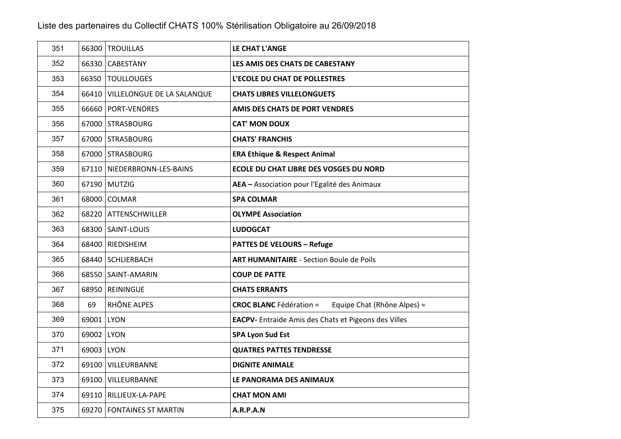| 351 |            | 66300 TROUILLAS                  | LE CHAT L'ANGE                                                |
|-----|------------|----------------------------------|---------------------------------------------------------------|
| 352 |            | 66330 CABESTANY                  | LES AMIS DES CHATS DE CABESTANY                               |
| 353 |            | 66350   TOULLOUGES               | <b>L'ECOLE DU CHAT DE POLLESTRES</b>                          |
| 354 |            | 66410 VILLELONGUE DE LA SALANQUE | <b>CHATS LIBRES VILLELONGUETS</b>                             |
| 355 |            | 66660 PORT-VENDRES               | AMIS DES CHATS DE PORT VENDRES                                |
| 356 |            | 67000 STRASBOURG                 | <b>CAT' MON DOUX</b>                                          |
| 357 |            | 67000 STRASBOURG                 | <b>CHATS' FRANCHIS</b>                                        |
| 358 |            | 67000 STRASBOURG                 | <b>ERA Ethique &amp; Respect Animal</b>                       |
| 359 |            | 67110 NIEDERBRONN-LES-BAINS      | <b>ECOLE DU CHAT LIBRE DES VOSGES DU NORD</b>                 |
| 360 |            | 67190 MUTZIG                     | AEA - Association pour l'Egalité des Animaux                  |
| 361 |            | 68000 COLMAR                     | <b>SPA COLMAR</b>                                             |
| 362 |            | 68220   ATTENSCHWILLER           | <b>OLYMPE Association</b>                                     |
| 363 |            | 68300 SAINT-LOUIS                | <b>LUDOGCAT</b>                                               |
| 364 |            | 68400 RIEDISHEIM                 | <b>PATTES DE VELOURS - Refuge</b>                             |
| 365 |            | 68440 SCHLIERBACH                | <b>ART HUMANITAIRE - Section Boule de Poils</b>               |
| 366 |            | 68550 SAINT-AMARIN               | <b>COUP DE PATTE</b>                                          |
| 367 |            | 68950 REININGUE                  | <b>CHATS ERRANTS</b>                                          |
| 368 | 69         | RHÔNE ALPES                      | <b>CROC BLANC Fédération =</b><br>Equipe Chat (Rhône Alpes) = |
| 369 | 69001 LYON |                                  | <b>EACPV-</b> Entraide Amis des Chats et Pigeons des Villes   |
| 370 | 69002 LYON |                                  | <b>SPA Lyon Sud Est</b>                                       |
| 371 | 69003 LYON |                                  | <b>QUATRES PATTES TENDRESSE</b>                               |
| 372 |            | 69100 VILLEURBANNE               | <b>DIGNITE ANIMALE</b>                                        |
| 373 |            | 69100 VILLEURBANNE               | LE PANORAMA DES ANIMAUX                                       |
| 374 |            | 69110 RILLIEUX-LA-PAPE           | <b>CHAT MON AMI</b>                                           |
| 375 |            | 69270 FONTAINES ST MARTIN        | <b>A.R.P.A.N</b>                                              |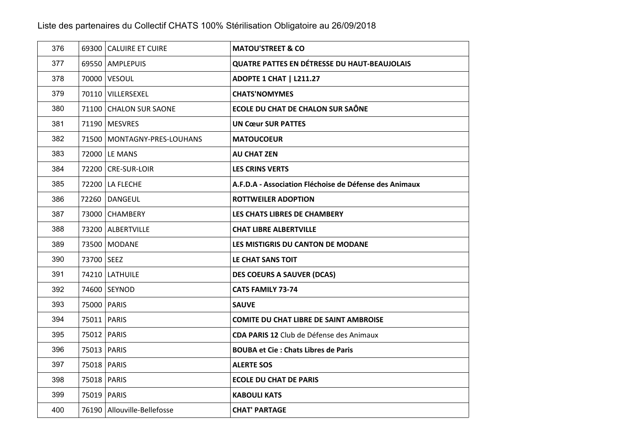| 376 |            | 69300 CALUIRE ET CUIRE        | <b>MATOU'STREET &amp; CO</b>                           |
|-----|------------|-------------------------------|--------------------------------------------------------|
| 377 |            | 69550 AMPLEPUIS               | <b>QUATRE PATTES EN DÉTRESSE DU HAUT-BEAUJOLAIS</b>    |
| 378 |            | 70000 VESOUL                  | <b>ADOPTE 1 CHAT   L211.27</b>                         |
| 379 |            | 70110 VILLERSEXEL             | <b>CHATS'NOMYMES</b>                                   |
| 380 |            | 71100 CHALON SUR SAONE        | <b>ECOLE DU CHAT DE CHALON SUR SAÔNE</b>               |
| 381 |            | 71190   MESVRES               | <b>UN Cœur SUR PATTES</b>                              |
| 382 |            | 71500   MONTAGNY-PRES-LOUHANS | <b>MATOUCOEUR</b>                                      |
| 383 |            | 72000   LE MANS               | <b>AU CHAT ZEN</b>                                     |
| 384 |            | 72200 CRE-SUR-LOIR            | <b>LES CRINS VERTS</b>                                 |
| 385 |            | 72200 LA FLECHE               | A.F.D.A - Association Fléchoise de Défense des Animaux |
| 386 |            | 72260 DANGEUL                 | <b>ROTTWEILER ADOPTION</b>                             |
| 387 |            | 73000 CHAMBERY                | LES CHATS LIBRES DE CHAMBERY                           |
| 388 |            | 73200 ALBERTVILLE             | <b>CHAT LIBRE ALBERTVILLE</b>                          |
| 389 |            | 73500 MODANE                  | LES MISTIGRIS DU CANTON DE MODANE                      |
| 390 | 73700 SEEZ |                               | LE CHAT SANS TOIT                                      |
| 391 |            | 74210   LATHUILE              | <b>DES COEURS A SAUVER (DCAS)</b>                      |
| 392 |            | 74600 SEYNOD                  | <b>CATS FAMILY 73-74</b>                               |
| 393 |            | 75000   PARIS                 | <b>SAUVE</b>                                           |
| 394 |            | 75011   PARIS                 | <b>COMITE DU CHAT LIBRE DE SAINT AMBROISE</b>          |
| 395 |            | 75012   PARIS                 | CDA PARIS 12 Club de Défense des Animaux               |
| 396 |            | 75013   PARIS                 | <b>BOUBA et Cie: Chats Libres de Paris</b>             |
| 397 |            | 75018   PARIS                 | <b>ALERTE SOS</b>                                      |
| 398 |            | 75018   PARIS                 | <b>ECOLE DU CHAT DE PARIS</b>                          |
| 399 |            | 75019   PARIS                 | <b>KABOULI KATS</b>                                    |
| 400 |            | 76190 Allouville-Bellefosse   | <b>CHAT' PARTAGE</b>                                   |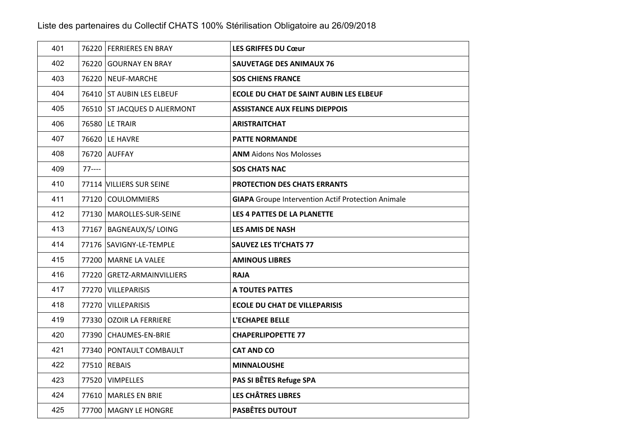| 401 |         | 76220 FERRIERES EN BRAY      | <b>LES GRIFFES DU Cœur</b>                                |
|-----|---------|------------------------------|-----------------------------------------------------------|
| 402 |         | 76220 GOURNAY EN BRAY        | <b>SAUVETAGE DES ANIMAUX 76</b>                           |
| 403 |         | 76220 NEUF-MARCHE            | <b>SOS CHIENS FRANCE</b>                                  |
| 404 |         | 76410 ST AUBIN LES ELBEUF    | ECOLE DU CHAT DE SAINT AUBIN LES ELBEUF                   |
| 405 |         | 76510 ST JACQUES D ALIERMONT | <b>ASSISTANCE AUX FELINS DIEPPOIS</b>                     |
| 406 |         | 76580 LE TRAIR               | <b>ARISTRAITCHAT</b>                                      |
| 407 |         | 76620 LE HAVRE               | <b>PATTE NORMANDE</b>                                     |
| 408 |         | 76720 AUFFAY                 | <b>ANM</b> Aidons Nos Molosses                            |
| 409 | $77---$ |                              | <b>SOS CHATS NAC</b>                                      |
| 410 |         | 77114 VILLIERS SUR SEINE     | PROTECTION DES CHATS ERRANTS                              |
| 411 |         | 77120 COULOMMIERS            | <b>GIAPA</b> Groupe Intervention Actif Protection Animale |
| 412 |         | 77130   MAROLLES-SUR-SEINE   | LES 4 PATTES DE LA PLANETTE                               |
| 413 |         | 77167   BAGNEAUX/S/ LOING    | <b>LES AMIS DE NASH</b>                                   |
| 414 |         | 77176 SAVIGNY-LE-TEMPLE      | <b>SAUVEZ LES TI'CHATS 77</b>                             |
| 415 |         | 77200 MARNE LA VALEE         | <b>AMINOUS LIBRES</b>                                     |
| 416 |         | 77220 GRETZ-ARMAINVILLIERS   | <b>RAJA</b>                                               |
| 417 |         | 77270 VILLEPARISIS           | <b>A TOUTES PATTES</b>                                    |
| 418 |         | 77270 VILLEPARISIS           | <b>ECOLE DU CHAT DE VILLEPARISIS</b>                      |
| 419 |         | 77330 OZOIR LA FERRIERE      | L'ECHAPEE BELLE                                           |
| 420 |         | 77390 CHAUMES-EN-BRIE        | <b>CHAPERLIPOPETTE 77</b>                                 |
| 421 |         | 77340 PONTAULT COMBAULT      | <b>CAT AND CO</b>                                         |
| 422 |         | 77510 REBAIS                 | <b>MINNALOUSHE</b>                                        |
| 423 |         | 77520 VIMPELLES              | PAS SI BÊTES Refuge SPA                                   |
| 424 |         | 77610   MARLES EN BRIE       | <b>LES CHÂTRES LIBRES</b>                                 |
| 425 |         | 77700   MAGNY LE HONGRE      | <b>PASBÊTES DUTOUT</b>                                    |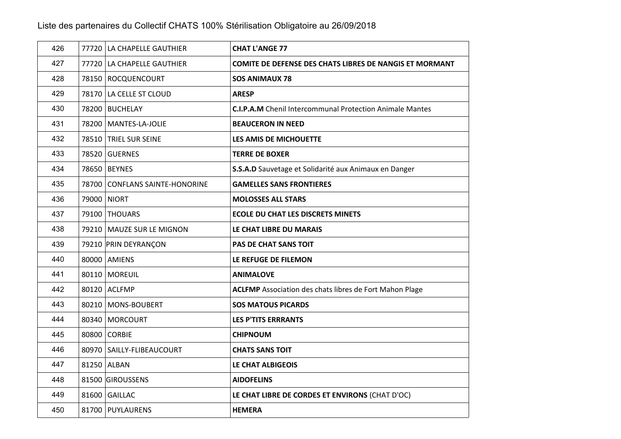| 426 | 77720 LA CHAPELLE GAUTHIER     | <b>CHAT L'ANGE 77</b>                                           |
|-----|--------------------------------|-----------------------------------------------------------------|
| 427 | 77720 LA CHAPELLE GAUTHIER     | <b>COMITE DE DEFENSE DES CHATS LIBRES DE NANGIS ET MORMANT</b>  |
| 428 | 78150 ROCQUENCOURT             | <b>SOS ANIMAUX 78</b>                                           |
| 429 | 78170 LA CELLE ST CLOUD        | <b>ARESP</b>                                                    |
| 430 | 78200 BUCHELAY                 | <b>C.I.P.A.M</b> Chenil Intercommunal Protection Animale Mantes |
| 431 | 78200 MANTES-LA-JOLIE          | <b>BEAUCERON IN NEED</b>                                        |
| 432 | 78510   TRIEL SUR SEINE        | LES AMIS DE MICHOUETTE                                          |
| 433 | 78520 GUERNES                  | <b>TERRE DE BOXER</b>                                           |
| 434 | 78650 BEYNES                   | S.S.A.D Sauvetage et Solidarité aux Animaux en Danger           |
| 435 | 78700 CONFLANS SAINTE-HONORINE | <b>GAMELLES SANS FRONTIERES</b>                                 |
| 436 | 79000 NIORT                    | <b>MOLOSSES ALL STARS</b>                                       |
| 437 | 79100 THOUARS                  | <b>ECOLE DU CHAT LES DISCRETS MINETS</b>                        |
| 438 | 79210   MAUZE SUR LE MIGNON    | LE CHAT LIBRE DU MARAIS                                         |
| 439 | 79210 PRIN DEYRANÇON           | <b>PAS DE CHAT SANS TOIT</b>                                    |
| 440 | 80000 AMIENS                   | LE REFUGE DE FILEMON                                            |
| 441 | 80110 MOREUIL                  | <b>ANIMALOVE</b>                                                |
| 442 | 80120 ACLFMP                   | <b>ACLFMP</b> Association des chats libres de Fort Mahon Plage  |
| 443 | 80210 MONS-BOUBERT             | <b>SOS MATOUS PICARDS</b>                                       |
| 444 | 80340 MORCOURT                 | <b>LES P'TITS ERRRANTS</b>                                      |
| 445 | 80800 CORBIE                   | <b>CHIPNOUM</b>                                                 |
| 446 | 80970   SAILLY-FLIBEAUCOURT    | <b>CHATS SANS TOIT</b>                                          |
| 447 | 81250 ALBAN                    | LE CHAT ALBIGEOIS                                               |
| 448 | 81500 GIROUSSENS               | <b>AIDOFELINS</b>                                               |
| 449 | 81600 GAILLAC                  | LE CHAT LIBRE DE CORDES ET ENVIRONS (CHAT D'OC)                 |
| 450 | 81700 PUYLAURENS               | <b>HEMERA</b>                                                   |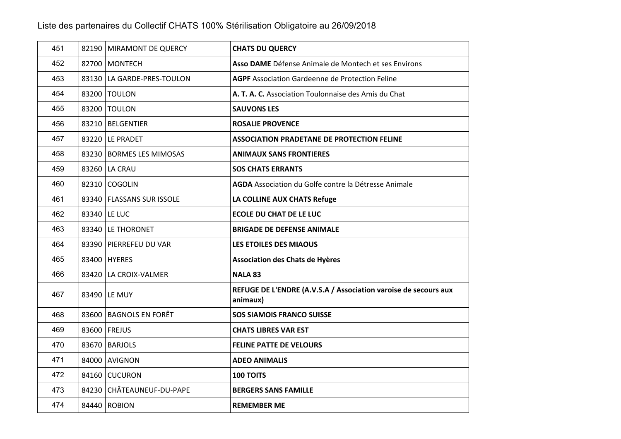| 451 | 82190 MIRAMONT DE QUERCY    | <b>CHATS DU QUERCY</b>                                                      |
|-----|-----------------------------|-----------------------------------------------------------------------------|
| 452 | 82700 MONTECH               | Asso DAME Défense Animale de Montech et ses Environs                        |
| 453 | 83130 LA GARDE-PRES-TOULON  | <b>AGPF</b> Association Gardeenne de Protection Feline                      |
| 454 | 83200 TOULON                | A. T. A. C. Association Toulonnaise des Amis du Chat                        |
| 455 | 83200 TOULON                | <b>SAUVONS LES</b>                                                          |
| 456 | 83210 BELGENTIER            | <b>ROSALIE PROVENCE</b>                                                     |
| 457 | 83220 LE PRADET             | <b>ASSOCIATION PRADETANE DE PROTECTION FELINE</b>                           |
| 458 | 83230 BORMES LES MIMOSAS    | <b>ANIMAUX SANS FRONTIERES</b>                                              |
| 459 | 83260 LA CRAU               | <b>SOS CHATS ERRANTS</b>                                                    |
| 460 | 82310 COGOLIN               | AGDA Association du Golfe contre la Détresse Animale                        |
| 461 | 83340   FLASSANS SUR ISSOLE | LA COLLINE AUX CHATS Refuge                                                 |
| 462 | 83340   LE LUC              | <b>ECOLE DU CHAT DE LE LUC</b>                                              |
| 463 | 83340 LE THORONET           | <b>BRIGADE DE DEFENSE ANIMALE</b>                                           |
| 464 | 83390 PIERREFEU DU VAR      | LES ETOILES DES MIAOUS                                                      |
| 465 | 83400 HYERES                | <b>Association des Chats de Hyères</b>                                      |
| 466 | 83420 LA CROIX-VALMER       | <b>NALA 83</b>                                                              |
| 467 | 83490 LE MUY                | REFUGE DE L'ENDRE (A.V.S.A / Association varoise de secours aux<br>animaux) |
| 468 | 83600 BAGNOLS EN FORÊT      | <b>SOS SIAMOIS FRANCO SUISSE</b>                                            |
| 469 | 83600 FREJUS                | <b>CHATS LIBRES VAR EST</b>                                                 |
| 470 | 83670 BARJOLS               | <b>FELINE PATTE DE VELOURS</b>                                              |
| 471 | 84000 AVIGNON               | <b>ADEO ANIMALIS</b>                                                        |
| 472 | 84160 CUCURON               | <b>100 TOITS</b>                                                            |
| 473 | 84230 CHÂTEAUNEUF-DU-PAPE   | <b>BERGERS SANS FAMILLE</b>                                                 |
| 474 | 84440 ROBION                | <b>REMEMBER ME</b>                                                          |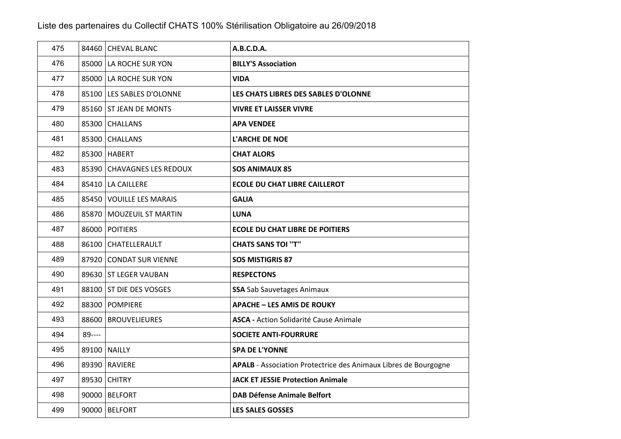| 475 |        | 84460 CHEVAL BLANC         | A.B.C.D.A.                                                             |
|-----|--------|----------------------------|------------------------------------------------------------------------|
| 476 |        | 85000 LA ROCHE SUR YON     | <b>BILLY'S Association</b>                                             |
| 477 |        | 85000 LA ROCHE SUR YON     | <b>VIDA</b>                                                            |
| 478 |        | 85100 LES SABLES D'OLONNE  | LES CHATS LIBRES DES SABLES D'OLONNE                                   |
| 479 |        | 85160 ST JEAN DE MONTS     | <b>VIVRE ET LAISSER VIVRE</b>                                          |
| 480 |        | 85300 CHALLANS             | <b>APA VENDEE</b>                                                      |
| 481 |        | 85300 CHALLANS             | <b>L'ARCHE DE NOE</b>                                                  |
| 482 |        | 85300 HABERT               | <b>CHAT ALORS</b>                                                      |
| 483 |        | 85390 CHAVAGNES LES REDOUX | <b>SOS ANIMAUX 85</b>                                                  |
| 484 |        | 85410 LA CAILLERE          | <b>ECOLE DU CHAT LIBRE CAILLEROT</b>                                   |
| 485 |        | 85450 VOUILLE LES MARAIS   | <b>GALIA</b>                                                           |
| 486 |        | 85870   MOUZEUIL ST MARTIN | <b>LUNA</b>                                                            |
| 487 |        | 86000 POITIERS             | <b>ECOLE DU CHAT LIBRE DE POITIERS</b>                                 |
| 488 |        | 86100 CHATELLERAULT        | <b>CHATS SANS TOI "T"</b>                                              |
| 489 |        | 87920 CONDAT SUR VIENNE    | <b>SOS MISTIGRIS 87</b>                                                |
| 490 |        | 89630   ST LEGER VAUBAN    | <b>RESPECTONS</b>                                                      |
| 491 |        | 88100 ST DIE DES VOSGES    | <b>SSA</b> Sab Sauvetages Animaux                                      |
| 492 |        | 88300 POMPIERE             | <b>APACHE - LES AMIS DE ROUKY</b>                                      |
| 493 |        | 88600 BROUVELIEURES        | <b>ASCA - Action Solidarité Cause Animale</b>                          |
| 494 | 89---- |                            | <b>SOCIETE ANTI-FOURRURE</b>                                           |
| 495 |        | 89100 NAILLY               | <b>SPA DE L'YONNE</b>                                                  |
| 496 |        | 89390 RAVIERE              | <b>APALB</b> - Association Protectrice des Animaux Libres de Bourgogne |
| 497 |        | 89530 CHITRY               | <b>JACK ET JESSIE Protection Animale</b>                               |
| 498 |        | 90000 BELFORT              | <b>DAB Défense Animale Belfort</b>                                     |
| 499 |        | 90000 BELFORT              | <b>LES SALES GOSSES</b>                                                |
|     |        |                            |                                                                        |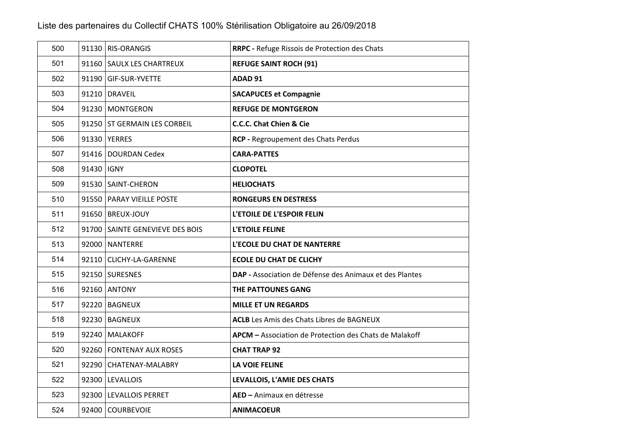| 500 |              | 91130 RIS-ORANGIS               | RRPC - Refuge Rissois de Protection des Chats           |
|-----|--------------|---------------------------------|---------------------------------------------------------|
| 501 |              | 91160 SAULX LES CHARTREUX       | <b>REFUGE SAINT ROCH (91)</b>                           |
| 502 |              | 91190 GIF-SUR-YVETTE            | ADAD <sub>91</sub>                                      |
| 503 |              | 91210 DRAVEIL                   | <b>SACAPUCES et Compagnie</b>                           |
| 504 |              | 91230 MONTGERON                 | <b>REFUGE DE MONTGERON</b>                              |
| 505 |              | 91250 ST GERMAIN LES CORBEIL    | C.C.C. Chat Chien & Cie                                 |
| 506 |              | 91330 YERRES                    | RCP - Regroupement des Chats Perdus                     |
| 507 |              | 91416   DOURDAN Cedex           | <b>CARA-PATTES</b>                                      |
| 508 | 91430   IGNY |                                 | <b>CLOPOTEL</b>                                         |
| 509 |              | 91530 SAINT-CHERON              | <b>HELIOCHATS</b>                                       |
| 510 |              | 91550   PARAY VIEILLE POSTE     | <b>RONGEURS EN DESTRESS</b>                             |
| 511 |              | 91650   BREUX-JOUY              | L'ETOILE DE L'ESPOIR FELIN                              |
| 512 |              | 91700 SAINTE GENEVIEVE DES BOIS | L'ETOILE FELINE                                         |
| 513 |              | 92000 NANTERRE                  | L'ECOLE DU CHAT DE NANTERRE                             |
| 514 |              | 92110 CLICHY-LA-GARENNE         | <b>ECOLE DU CHAT DE CLICHY</b>                          |
| 515 |              | 92150 SURESNES                  | DAP - Association de Défense des Animaux et des Plantes |
| 516 |              | 92160 ANTONY                    | THE PATTOUNES GANG                                      |
| 517 |              | 92220 BAGNEUX                   | <b>MILLE ET UN REGARDS</b>                              |
| 518 |              | 92230 BAGNEUX                   | <b>ACLB</b> Les Amis des Chats Libres de BAGNEUX        |
| 519 |              | 92240   MALAKOFF                | APCM - Association de Protection des Chats de Malakoff  |
| 520 |              | 92260 FONTENAY AUX ROSES        | <b>CHAT TRAP 92</b>                                     |
| 521 |              | 92290 CHATENAY-MALABRY          | <b>LA VOIE FELINE</b>                                   |
| 522 |              | 92300   LEVALLOIS               | LEVALLOIS, L'AMIE DES CHATS                             |
| 523 |              | 92300 LEVALLOIS PERRET          | AED - Animaux en détresse                               |
| 524 |              | 92400 COURBEVOIE                | <b>ANIMACOEUR</b>                                       |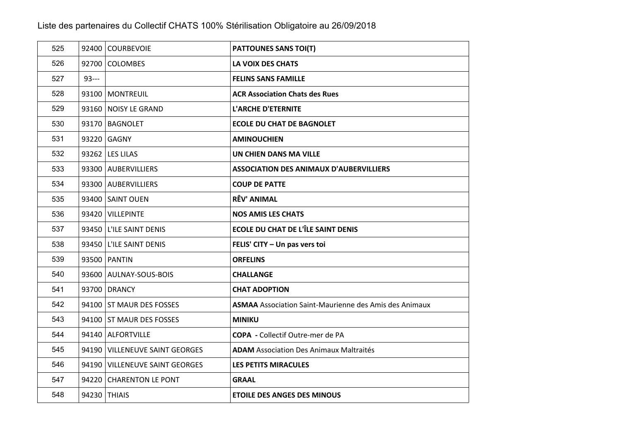| 525 |        | 92400 COURBEVOIE               | <b>PATTOUNES SANS TOI(T)</b>                                  |
|-----|--------|--------------------------------|---------------------------------------------------------------|
| 526 |        | 92700 COLOMBES                 | <b>LA VOIX DES CHATS</b>                                      |
| 527 | $93--$ |                                | <b>FELINS SANS FAMILLE</b>                                    |
| 528 |        | 93100   MONTREUIL              | <b>ACR Association Chats des Rues</b>                         |
| 529 |        | 93160 NOISY LE GRAND           | <b>L'ARCHE D'ETERNITE</b>                                     |
| 530 |        | 93170   BAGNOLET               | <b>ECOLE DU CHAT DE BAGNOLET</b>                              |
| 531 |        | 93220 GAGNY                    | <b>AMINOUCHIEN</b>                                            |
| 532 |        | 93262   LES LILAS              | UN CHIEN DANS MA VILLE                                        |
| 533 |        | 93300 AUBERVILLIERS            | <b>ASSOCIATION DES ANIMAUX D'AUBERVILLIERS</b>                |
| 534 |        | 93300 AUBERVILLIERS            | <b>COUP DE PATTE</b>                                          |
| 535 |        | 93400 SAINT OUEN               | <b>RÊV' ANIMAL</b>                                            |
| 536 |        | 93420   VILLEPINTE             | <b>NOS AMIS LES CHATS</b>                                     |
| 537 |        | 93450 L'ILE SAINT DENIS        | <b>ECOLE DU CHAT DE L'ÎLE SAINT DENIS</b>                     |
| 538 |        | 93450 L'ILE SAINT DENIS        | FELIS' CITY - Un pas vers toi                                 |
| 539 |        | 93500 PANTIN                   | <b>ORFELINS</b>                                               |
| 540 |        | 93600 AULNAY-SOUS-BOIS         | <b>CHALLANGE</b>                                              |
| 541 |        | 93700 DRANCY                   | <b>CHAT ADOPTION</b>                                          |
| 542 |        | 94100 ST MAUR DES FOSSES       | <b>ASMAA</b> Association Saint-Maurienne des Amis des Animaux |
| 543 |        | 94100 ST MAUR DES FOSSES       | <b>MINIKU</b>                                                 |
| 544 |        | 94140 ALFORTVILLE              | <b>COPA</b> - Collectif Outre-mer de PA                       |
| 545 |        | 94190 VILLENEUVE SAINT GEORGES | <b>ADAM</b> Association Des Animaux Maltraités                |
| 546 |        | 94190 VILLENEUVE SAINT GEORGES | LES PETITS MIRACULES                                          |
| 547 |        | 94220 CHARENTON LE PONT        | <b>GRAAL</b>                                                  |
| 548 |        | 94230 THIAIS                   | <b>ETOILE DES ANGES DES MINOUS</b>                            |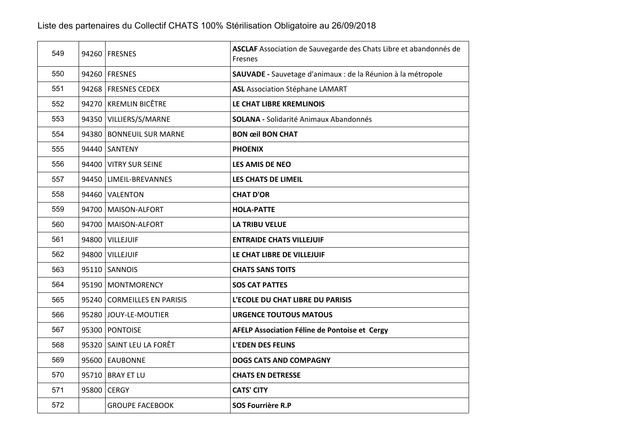| 549 | 94260   FRESNES             | ASCLAF Association de Sauvegarde des Chats Libre et abandonnés de<br>Fresnes |
|-----|-----------------------------|------------------------------------------------------------------------------|
| 550 | 94260 FRESNES               | SAUVADE - Sauvetage d'animaux : de la Réunion à la métropole                 |
| 551 | 94268 FRESNES CEDEX         | <b>ASL</b> Association Stéphane LAMART                                       |
| 552 | 94270 KREMLIN BICÊTRE       | LE CHAT LIBRE KREMLINOIS                                                     |
| 553 | 94350 VILLIERS/S/MARNE      | <b>SOLANA - Solidarité Animaux Abandonnés</b>                                |
| 554 | 94380 BONNEUIL SUR MARNE    | <b>BON œil BON CHAT</b>                                                      |
| 555 | 94440 SANTENY               | <b>PHOENIX</b>                                                               |
| 556 | 94400 VITRY SUR SEINE       | <b>LES AMIS DE NEO</b>                                                       |
| 557 | 94450   LIMEIL-BREVANNES    | <b>LES CHATS DE LIMEIL</b>                                                   |
| 558 | 94460 VALENTON              | <b>CHAT D'OR</b>                                                             |
| 559 | 94700 MAISON-ALFORT         | <b>HOLA-PATTE</b>                                                            |
| 560 | 94700 MAISON-ALFORT         | <b>LA TRIBU VELUE</b>                                                        |
| 561 | 94800 VILLEJUIF             | <b>ENTRAIDE CHATS VILLEJUIF</b>                                              |
| 562 | 94800 VILLEJUIF             | LE CHAT LIBRE DE VILLEJUIF                                                   |
| 563 | 95110 SANNOIS               | <b>CHATS SANS TOITS</b>                                                      |
| 564 | 95190   MONTMORENCY         | <b>SOS CAT PATTES</b>                                                        |
| 565 | 95240 CORMEILLES EN PARISIS | L'ECOLE DU CHAT LIBRE DU PARISIS                                             |
| 566 | 95280 JOUY-LE-MOUTIER       | <b>URGENCE TOUTOUS MATOUS</b>                                                |
| 567 | 95300 PONTOISE              | AFELP Association Féline de Pontoise et Cergy                                |
| 568 | 95320 SAINT LEU LA FORÊT    | <b>L'EDEN DES FELINS</b>                                                     |
| 569 | 95600 EAUBONNE              | <b>DOGS CATS AND COMPAGNY</b>                                                |
| 570 | 95710   BRAY ET LU          | <b>CHATS EN DETRESSE</b>                                                     |
| 571 | 95800 CERGY                 | <b>CATS' CITY</b>                                                            |
| 572 | <b>GROUPE FACEBOOK</b>      | SOS Fourrière R.P                                                            |